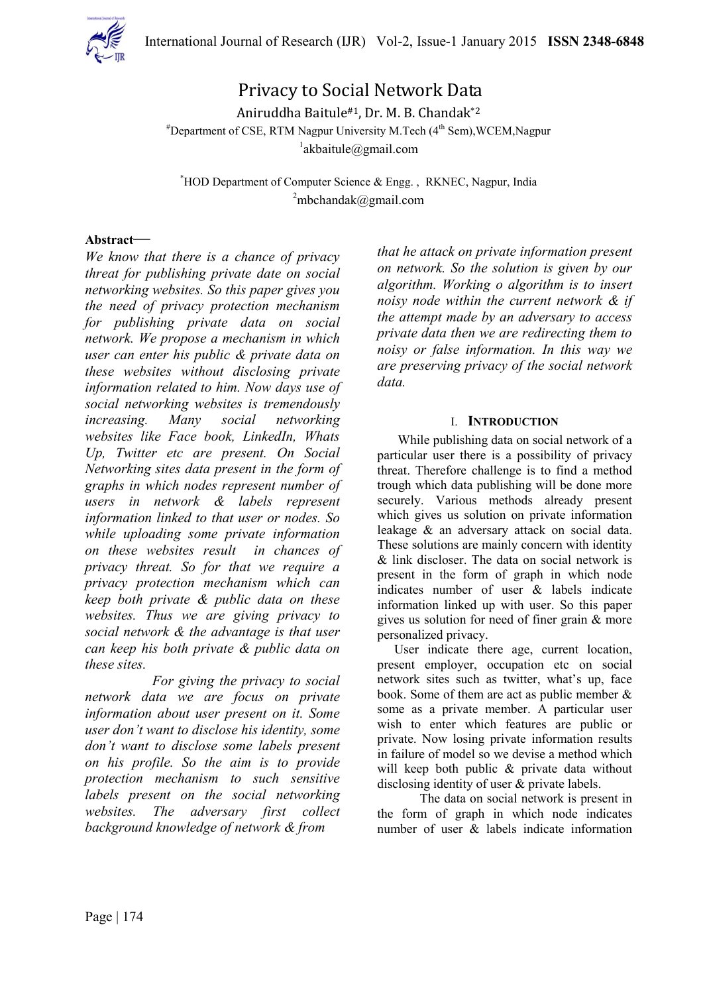

# Privacy to Social Network Data

Aniruddha Baitule#1, Dr. M. B. Chandak\*2  $*$ Department of CSE, RTM Nagpur University M.Tech  $(4<sup>th</sup>$  Sem), WCEM, Nagpur 1 akbaitule@gmail.com

\*HOD Department of Computer Science & Engg. , RKNEC, Nagpur, India  $2$ mbchandak@gmail.com

### **Abstract***—*

*We know that there is a chance of privacy threat for publishing private date on social networking websites. So this paper gives you the need of privacy protection mechanism for publishing private data on social network. We propose a mechanism in which user can enter his public & private data on these websites without disclosing private information related to him. Now days use of social networking websites is tremendously increasing. Many social networking websites like Face book, LinkedIn, Whats Up, Twitter etc are present. On Social Networking sites data present in the form of graphs in which nodes represent number of users in network & labels represent information linked to that user or nodes. So while uploading some private information on these websites result in chances of privacy threat. So for that we require a privacy protection mechanism which can keep both private & public data on these websites. Thus we are giving privacy to social network & the advantage is that user can keep his both private & public data on these sites.* 

 *For giving the privacy to social network data we are focus on private information about user present on it. Some user don't want to disclose his identity, some don't want to disclose some labels present on his profile. So the aim is to provide protection mechanism to such sensitive labels present on the social networking websites. The adversary first collect background knowledge of network & from* 

*that he attack on private information present on network. So the solution is given by our algorithm. Working o algorithm is to insert noisy node within the current network & if the attempt made by an adversary to access private data then we are redirecting them to noisy or false information. In this way we are preserving privacy of the social network data.* 

#### I. **INTRODUCTION**

While publishing data on social network of a particular user there is a possibility of privacy threat. Therefore challenge is to find a method trough which data publishing will be done more securely. Various methods already present which gives us solution on private information leakage & an adversary attack on social data. These solutions are mainly concern with identity & link discloser. The data on social network is present in the form of graph in which node indicates number of user & labels indicate information linked up with user. So this paper gives us solution for need of finer grain & more personalized privacy.

User indicate there age, current location, present employer, occupation etc on social network sites such as twitter, what's up, face book. Some of them are act as public member & some as a private member. A particular user wish to enter which features are public or private. Now losing private information results in failure of model so we devise a method which will keep both public & private data without disclosing identity of user & private labels.

The data on social network is present in the form of graph in which node indicates number of user & labels indicate information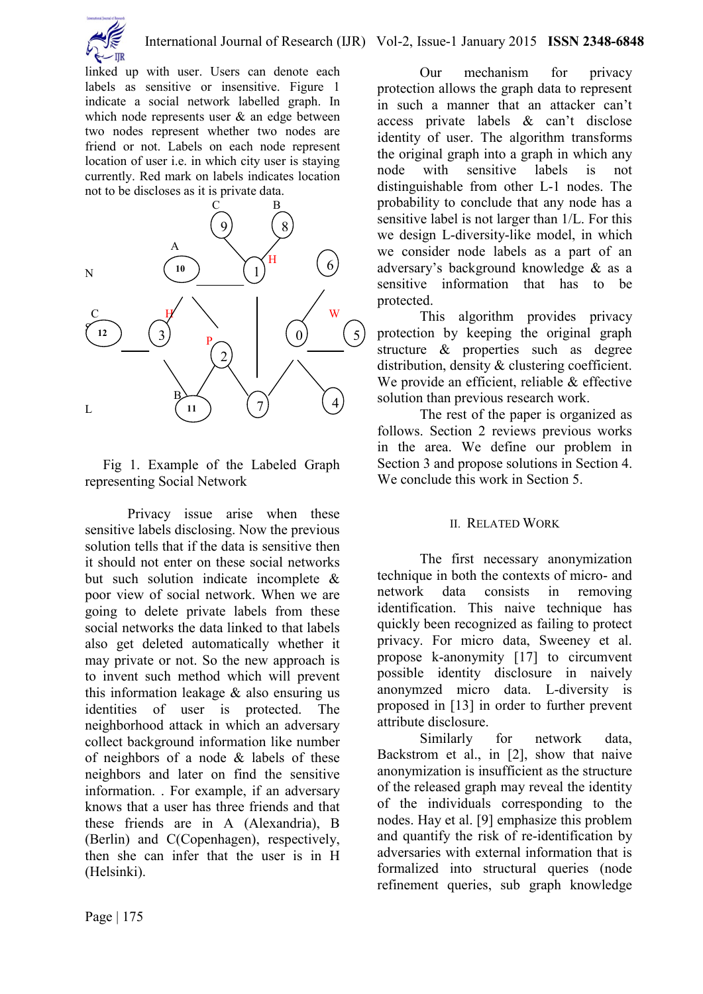

linked up with user. Users can denote each labels as sensitive or insensitive. Figure 1 indicate a social network labelled graph. In which node represents user  $\&$  an edge between two nodes represent whether two nodes are friend or not. Labels on each node represent location of user i.e. in which city user is staying currently. Red mark on labels indicates location not to be discloses as it is private data.



 Fig 1. Example of the Labeled Graph representing Social Network

Privacy issue arise when these sensitive labels disclosing. Now the previous solution tells that if the data is sensitive then it should not enter on these social networks but such solution indicate incomplete & poor view of social network. When we are going to delete private labels from these social networks the data linked to that labels also get deleted automatically whether it may private or not. So the new approach is to invent such method which will prevent this information leakage & also ensuring us identities of user is protected. The neighborhood attack in which an adversary collect background information like number of neighbors of a node & labels of these neighbors and later on find the sensitive information. . For example, if an adversary knows that a user has three friends and that these friends are in A (Alexandria), B (Berlin) and C(Copenhagen), respectively, then she can infer that the user is in H (Helsinki).

Our mechanism for privacy protection allows the graph data to represent in such a manner that an attacker can't access private labels & can't disclose identity of user. The algorithm transforms the original graph into a graph in which any node with sensitive labels is not distinguishable from other L-1 nodes. The probability to conclude that any node has a sensitive label is not larger than 1/L. For this we design L-diversity-like model, in which we consider node labels as a part of an adversary's background knowledge & as a sensitive information that has to be protected.

This algorithm provides privacy protection by keeping the original graph structure & properties such as degree distribution, density & clustering coefficient. We provide an efficient, reliable & effective solution than previous research work.

The rest of the paper is organized as follows. Section 2 reviews previous works in the area. We define our problem in Section 3 and propose solutions in Section 4. We conclude this work in Section 5.

### II. RELATED WORK

The first necessary anonymization technique in both the contexts of micro- and network data consists in removing identification. This naive technique has quickly been recognized as failing to protect privacy. For micro data, Sweeney et al. propose k-anonymity [17] to circumvent possible identity disclosure in naively anonymzed micro data. L-diversity is proposed in [13] in order to further prevent attribute disclosure.

Similarly for network data, Backstrom et al., in [2], show that naive anonymization is insufficient as the structure of the released graph may reveal the identity of the individuals corresponding to the nodes. Hay et al. [9] emphasize this problem and quantify the risk of re-identification by adversaries with external information that is formalized into structural queries (node refinement queries, sub graph knowledge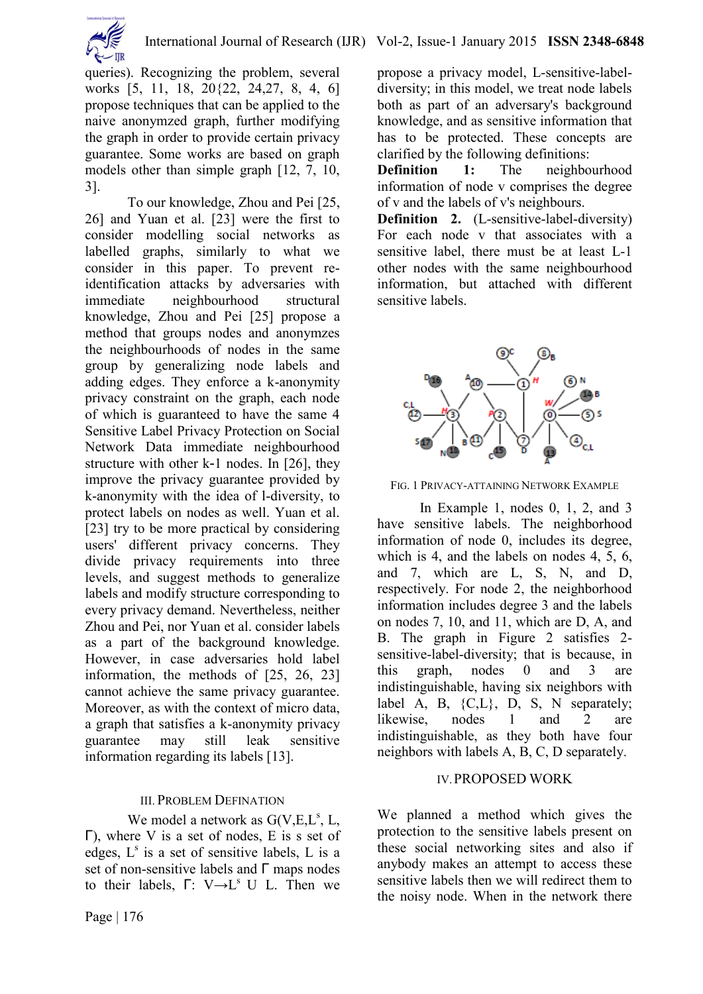

queries). Recognizing the problem, several works [5, 11, 18, 20{22, 24,27, 8, 4, 6] propose techniques that can be applied to the naive anonymzed graph, further modifying the graph in order to provide certain privacy guarantee. Some works are based on graph models other than simple graph [12, 7, 10, 3].

To our knowledge, Zhou and Pei [25, 26] and Yuan et al. [23] were the first to consider modelling social networks as labelled graphs, similarly to what we consider in this paper. To prevent reidentification attacks by adversaries with immediate neighbourhood structural knowledge, Zhou and Pei [25] propose a method that groups nodes and anonymzes the neighbourhoods of nodes in the same group by generalizing node labels and adding edges. They enforce a k-anonymity privacy constraint on the graph, each node of which is guaranteed to have the same 4 Sensitive Label Privacy Protection on Social Network Data immediate neighbourhood structure with other k-1 nodes. In [26], they improve the privacy guarantee provided by k-anonymity with the idea of l-diversity, to protect labels on nodes as well. Yuan et al. [23] try to be more practical by considering users' different privacy concerns. They divide privacy requirements into three levels, and suggest methods to generalize labels and modify structure corresponding to every privacy demand. Nevertheless, neither Zhou and Pei, nor Yuan et al. consider labels as a part of the background knowledge. However, in case adversaries hold label information, the methods of [25, 26, 23] cannot achieve the same privacy guarantee. Moreover, as with the context of micro data, a graph that satisfies a k-anonymity privacy guarantee may still leak sensitive information regarding its labels [13].

# III. PROBLEM DEFINATION

We model a network as  $G(V,E,L^s, L,$ Γ), where V is a set of nodes, E is s set of edges,  $L^s$  is a set of sensitive labels, L is a set of non-sensitive labels and Γ maps nodes to their labels,  $\Gamma: V \rightarrow L^s U L$ . Then we

propose a privacy model, L-sensitive-labeldiversity; in this model, we treat node labels both as part of an adversary's background knowledge, and as sensitive information that has to be protected. These concepts are clarified by the following definitions:

**Definition 1:** The neighbourhood information of node v comprises the degree of v and the labels of v's neighbours.

**Definition 2.** (L-sensitive-label-diversity) For each node v that associates with a sensitive label, there must be at least L-1 other nodes with the same neighbourhood information, but attached with different sensitive labels.



FIG. 1 PRIVACY-ATTAINING NETWORK EXAMPLE

In Example 1, nodes 0, 1, 2, and 3 have sensitive labels. The neighborhood information of node 0, includes its degree, which is 4, and the labels on nodes 4, 5, 6, and 7, which are L, S, N, and D, respectively. For node 2, the neighborhood information includes degree 3 and the labels on nodes 7, 10, and 11, which are D, A, and B. The graph in Figure 2 satisfies 2 sensitive-label-diversity; that is because, in this graph, nodes 0 and 3 are indistinguishable, having six neighbors with label A, B, {C,L}, D, S, N separately; likewise, nodes 1 and 2 are indistinguishable, as they both have four neighbors with labels A, B, C, D separately.

# IV.PROPOSED WORK

We planned a method which gives the protection to the sensitive labels present on these social networking sites and also if anybody makes an attempt to access these sensitive labels then we will redirect them to the noisy node. When in the network there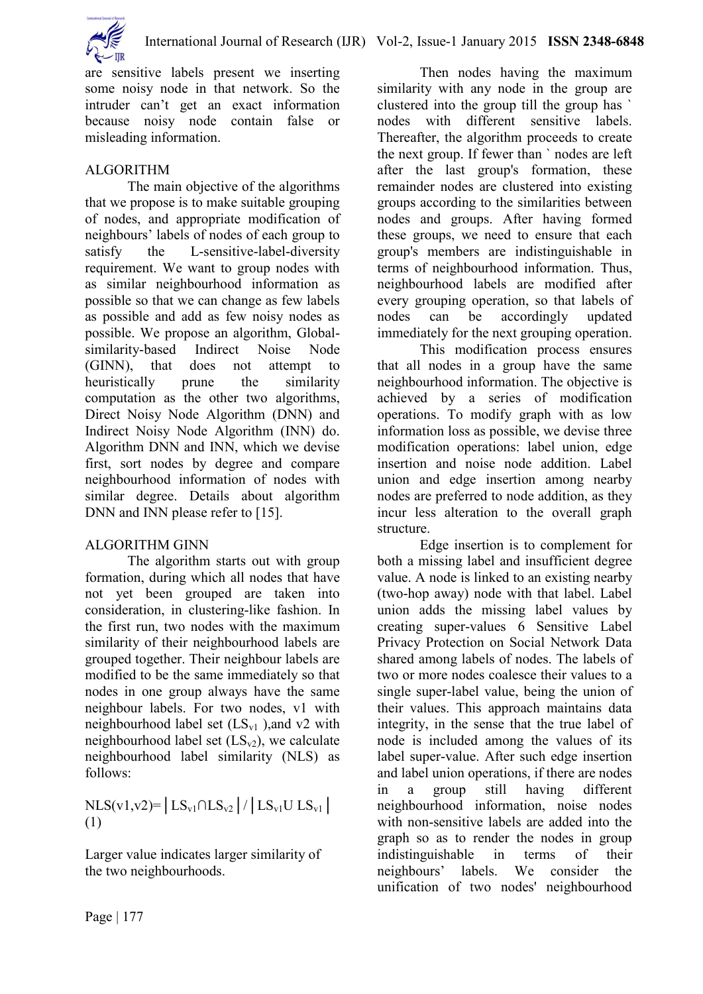

are sensitive labels present we inserting some noisy node in that network. So the intruder can't get an exact information because noisy node contain false or misleading information.

# ALGORITHM

The main objective of the algorithms that we propose is to make suitable grouping of nodes, and appropriate modification of neighbours' labels of nodes of each group to satisfy the L-sensitive-label-diversity requirement. We want to group nodes with as similar neighbourhood information as possible so that we can change as few labels as possible and add as few noisy nodes as possible. We propose an algorithm, Globalsimilarity-based Indirect Noise Node (GINN), that does not attempt to heuristically prune the similarity computation as the other two algorithms, Direct Noisy Node Algorithm (DNN) and Indirect Noisy Node Algorithm (INN) do. Algorithm DNN and INN, which we devise first, sort nodes by degree and compare neighbourhood information of nodes with similar degree. Details about algorithm DNN and INN please refer to [15].

# ALGORITHM GINN

The algorithm starts out with group formation, during which all nodes that have not yet been grouped are taken into consideration, in clustering-like fashion. In the first run, two nodes with the maximum similarity of their neighbourhood labels are grouped together. Their neighbour labels are modified to be the same immediately so that nodes in one group always have the same neighbour labels. For two nodes, v1 with neighbourhood label set  $(LS_{v1})$ , and v2 with neighbourhood label set  $(LS_{v2})$ , we calculate neighbourhood label similarity (NLS) as follows:

NLS(v1,v2)=│LS<sub>v1</sub>∩LS<sub>v2</sub>│/│LS<sub>v1</sub>U LS<sub>v1</sub>│ (1)

Larger value indicates larger similarity of the two neighbourhoods.

Then nodes having the maximum similarity with any node in the group are clustered into the group till the group has ` nodes with different sensitive labels. Thereafter, the algorithm proceeds to create the next group. If fewer than ` nodes are left after the last group's formation, these remainder nodes are clustered into existing groups according to the similarities between nodes and groups. After having formed these groups, we need to ensure that each group's members are indistinguishable in terms of neighbourhood information. Thus, neighbourhood labels are modified after every grouping operation, so that labels of nodes can be accordingly updated immediately for the next grouping operation.

This modification process ensures that all nodes in a group have the same neighbourhood information. The objective is achieved by a series of modification operations. To modify graph with as low information loss as possible, we devise three modification operations: label union, edge insertion and noise node addition. Label union and edge insertion among nearby nodes are preferred to node addition, as they incur less alteration to the overall graph structure.

Edge insertion is to complement for both a missing label and insufficient degree value. A node is linked to an existing nearby (two-hop away) node with that label. Label union adds the missing label values by creating super-values 6 Sensitive Label Privacy Protection on Social Network Data shared among labels of nodes. The labels of two or more nodes coalesce their values to a single super-label value, being the union of their values. This approach maintains data integrity, in the sense that the true label of node is included among the values of its label super-value. After such edge insertion and label union operations, if there are nodes in a group still having different neighbourhood information, noise nodes with non-sensitive labels are added into the graph so as to render the nodes in group indistinguishable in terms of their neighbours' labels. We consider the unification of two nodes' neighbourhood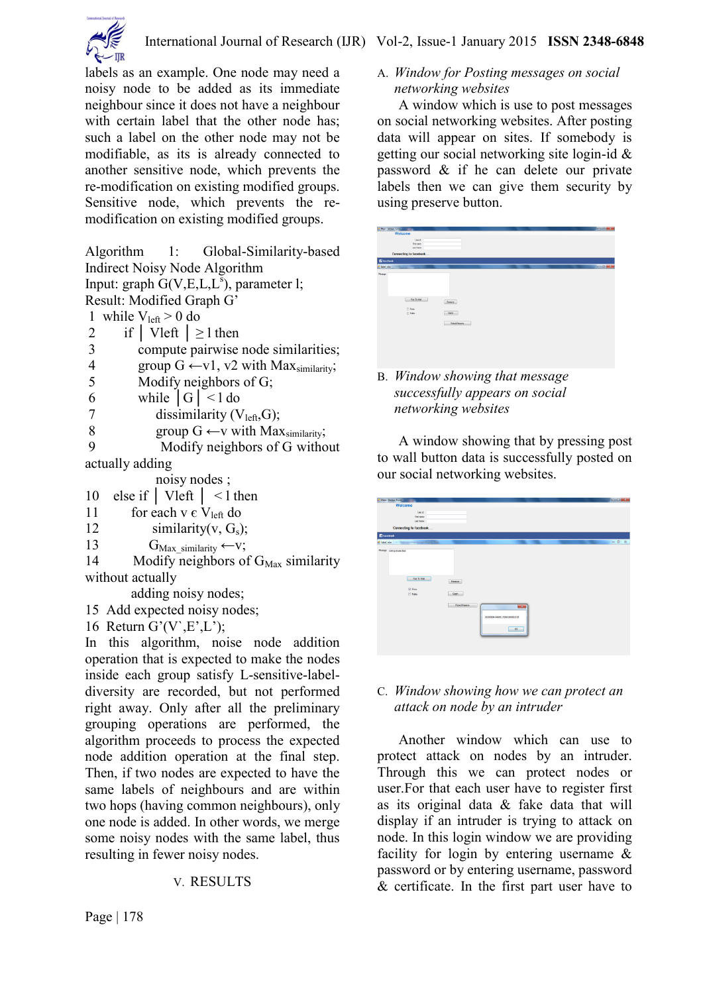

labels as an example. One node may need a noisy node to be added as its immediate neighbour since it does not have a neighbour with certain label that the other node has; such a label on the other node may not be modifiable, as its is already connected to another sensitive node, which prevents the re-modification on existing modified groups. Sensitive node, which prevents the remodification on existing modified groups.

Algorithm 1: Global-Similarity-based Indirect Noisy Node Algorithm Input: graph  $G(V,E,L,L^s)$ , parameter l; Result: Modified Graph G' 1 while  $V_{\text{left}} > 0$  do 2 if  $|$  Vleft  $| \geq 1$  then 3 compute pairwise node similarities; 4 group  $G \leftarrow v1$ ,  $v2$  with Max<sub>similarity</sub>; 5 Modify neighbors of G; 6 while  $|G| < 1$  do 7 dissimilarity  $(V<sub>left</sub>, G);$ 8 group  $G \leftarrow v$  with Max<sub>similarity</sub>;<br>9 Modify neighbors of G witho Modify neighbors of G without actually adding noisy nodes ; 10 else if │ Vleft │ < l then 11 for each v  $\epsilon$  V<sub>left</sub> do

- 
- 12 similarity(v,  $G_s$ );
- 13  $G_{\text{Max}}$  similarity ← v;

14 Modify neighbors of  $G_{\text{Max}}$  similarity without actually

adding noisy nodes;

- 15 Add expected noisy nodes;
- 16 Return  $G'(V,E',L')$ ;

In this algorithm, noise node addition operation that is expected to make the nodes inside each group satisfy L-sensitive-labeldiversity are recorded, but not performed right away. Only after all the preliminary grouping operations are performed, the algorithm proceeds to process the expected node addition operation at the final step. Then, if two nodes are expected to have the same labels of neighbours and are within two hops (having common neighbours), only one node is added. In other words, we merge some noisy nodes with the same label, thus resulting in fewer noisy nodes.

# V. RESULTS

A. *Window for Posting messages on social networking websites*

 A window which is use to post messages on social networking websites. After posting data will appear on sites. If somebody is getting our social networking site login-id & password & if he can delete our private labels then we can give them security by using preserve button.



B. *Window showing that message successfully appears on social networking websites*

 A window showing that by pressing post to wall button data is successfully posted on our social networking websites.

| Main - [Action Form]        |                                   |                        |                                 |              | <b>Read and Contract Contract</b> |
|-----------------------------|-----------------------------------|------------------------|---------------------------------|--------------|-----------------------------------|
|                             | Welcome                           |                        |                                 |              |                                   |
|                             | Use id:                           |                        |                                 |              |                                   |
|                             | <b>Fed name:</b>                  |                        |                                 |              |                                   |
|                             | Last Name:                        |                        |                                 |              |                                   |
|                             | Connecting to facebook            |                        |                                 |              |                                   |
| <b>E</b> Facebook           |                                   |                        |                                 |              |                                   |
| wife Label wise             | The Motors of the said Party Park |                        |                                 |              | <b>PERSONAL PROPERTY</b>          |
| Message busing pilvate data |                                   |                        |                                 |              |                                   |
|                             |                                   |                        |                                 |              |                                   |
|                             |                                   |                        |                                 |              |                                   |
|                             |                                   |                        |                                 |              |                                   |
|                             |                                   |                        |                                 |              |                                   |
|                             | Post To Wall                      |                        |                                 |              |                                   |
|                             |                                   | Peseve                 |                                 |              |                                   |
|                             | (2) Frees                         |                        |                                 |              |                                   |
|                             | $\Box$ Public                     | Gash                   |                                 |              |                                   |
|                             |                                   |                        |                                 |              |                                   |
|                             |                                   | <b>Protect/heserve</b> |                                 | <b>COLOR</b> |                                   |
|                             |                                   |                        |                                 |              |                                   |
|                             |                                   |                        | 100000604346006_760882660611538 |              |                                   |
|                             |                                   |                        |                                 |              |                                   |
|                             |                                   |                        |                                 |              |                                   |
|                             |                                   |                        |                                 | OK.<br>۰     |                                   |
|                             |                                   |                        |                                 |              |                                   |
|                             |                                   |                        |                                 |              |                                   |
|                             |                                   |                        |                                 |              |                                   |

### C. *Window showing how we can protect an attack on node by an intruder*

 Another window which can use to protect attack on nodes by an intruder. Through this we can protect nodes or user.For that each user have to register first as its original data & fake data that will display if an intruder is trying to attack on node. In this login window we are providing facility for login by entering username & password or by entering username, password & certificate. In the first part user have to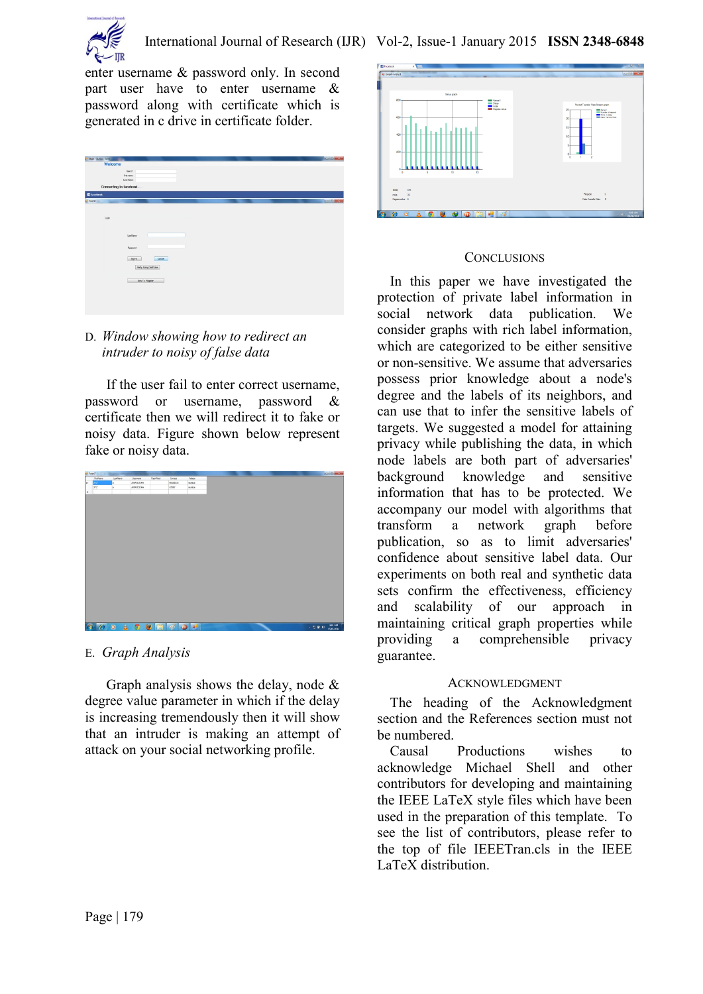

enter username & password only. In second part user have to enter username & password along with certificate which is generated in c drive in certificate folder.

| Welcome<br>User it!<br>First name:<br>Las Nane:<br>Connecting to facebook<br><b>El Facebook</b><br><b>Diamo</b><br><b>Service Controllers</b><br>Login<br>Usefürre<br>Password<br>Sprin<br>Cancel<br>Very Using Centrate<br>New To Register | Main - Molan Form |  |  |  |  | $-6 - 1$              |
|---------------------------------------------------------------------------------------------------------------------------------------------------------------------------------------------------------------------------------------------|-------------------|--|--|--|--|-----------------------|
|                                                                                                                                                                                                                                             |                   |  |  |  |  |                       |
|                                                                                                                                                                                                                                             |                   |  |  |  |  |                       |
|                                                                                                                                                                                                                                             |                   |  |  |  |  |                       |
|                                                                                                                                                                                                                                             |                   |  |  |  |  |                       |
|                                                                                                                                                                                                                                             |                   |  |  |  |  |                       |
|                                                                                                                                                                                                                                             |                   |  |  |  |  |                       |
|                                                                                                                                                                                                                                             |                   |  |  |  |  | <b>Call Committee</b> |
|                                                                                                                                                                                                                                             |                   |  |  |  |  |                       |
|                                                                                                                                                                                                                                             |                   |  |  |  |  |                       |
|                                                                                                                                                                                                                                             |                   |  |  |  |  |                       |
|                                                                                                                                                                                                                                             |                   |  |  |  |  |                       |
|                                                                                                                                                                                                                                             |                   |  |  |  |  |                       |
|                                                                                                                                                                                                                                             |                   |  |  |  |  |                       |
|                                                                                                                                                                                                                                             |                   |  |  |  |  |                       |
|                                                                                                                                                                                                                                             |                   |  |  |  |  |                       |
|                                                                                                                                                                                                                                             |                   |  |  |  |  |                       |
|                                                                                                                                                                                                                                             |                   |  |  |  |  |                       |
|                                                                                                                                                                                                                                             |                   |  |  |  |  |                       |
|                                                                                                                                                                                                                                             |                   |  |  |  |  |                       |
|                                                                                                                                                                                                                                             |                   |  |  |  |  |                       |
|                                                                                                                                                                                                                                             |                   |  |  |  |  |                       |
|                                                                                                                                                                                                                                             |                   |  |  |  |  |                       |
|                                                                                                                                                                                                                                             |                   |  |  |  |  |                       |
|                                                                                                                                                                                                                                             |                   |  |  |  |  |                       |
|                                                                                                                                                                                                                                             |                   |  |  |  |  |                       |

# D. *Window showing how to redirect an intruder to noisy of false data*

 If the user fail to enter correct username, password or username, password & certificate then we will redirect it to fake or noisy data. Figure shown below represent fake or noisy data.



E. *Graph Analysis*

Graph analysis shows the delay, node  $\&$ degree value parameter in which if the delay is increasing tremendously then it will show that an intruder is making an attempt of attack on your social networking profile.



### **CONCLUSIONS**

In this paper we have investigated the protection of private label information in social network data publication. We consider graphs with rich label information, which are categorized to be either sensitive or non-sensitive. We assume that adversaries possess prior knowledge about a node's degree and the labels of its neighbors, and can use that to infer the sensitive labels of targets. We suggested a model for attaining privacy while publishing the data, in which node labels are both part of adversaries' background knowledge and sensitive information that has to be protected. We accompany our model with algorithms that transform a network graph before publication, so as to limit adversaries' confidence about sensitive label data. Our experiments on both real and synthetic data sets confirm the effectiveness, efficiency and scalability of our approach in maintaining critical graph properties while providing a comprehensible privacy guarantee.

# ACKNOWLEDGMENT

The heading of the Acknowledgment section and the References section must not be numbered.

Causal Productions wishes to acknowledge Michael Shell and other contributors for developing and maintaining the IEEE LaTeX style files which have been used in the preparation of this template. To see the list of contributors, please refer to the top of file IEEETran.cls in the IEEE LaTeX distribution.